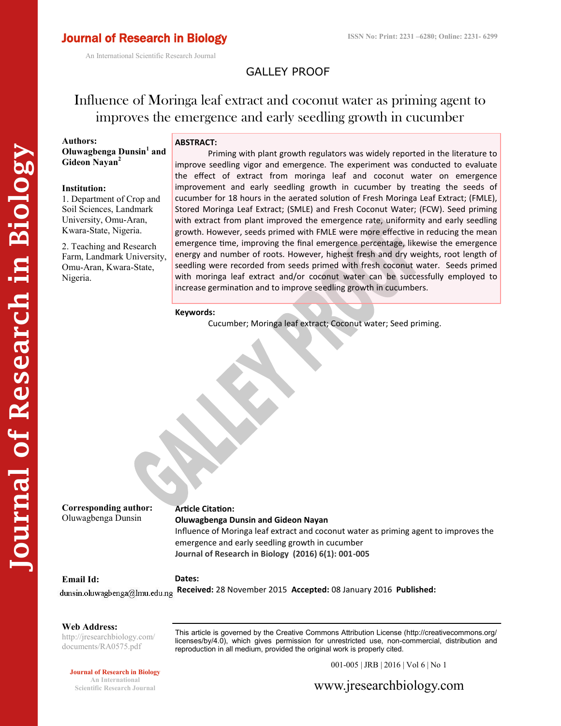An International Scientific Research Journal

# GALLEY PROOF

# Influence of Moringa leaf extract and coconut water as priming agent to improves the emergence and early seedling growth in cucumber

**Authors: Oluwagbenga Dunsin<sup>1</sup> and Gideon Nayan<sup>2</sup>**

#### **Institution:**

1. Department of Crop and Soil Sciences, Landmark University, Omu-Aran, Kwara-State, Nigeria.

2. Teaching and Research Farm, Landmark University, Omu-Aran, Kwara-State, Nigeria.

## **ABSTRACT:**

Priming with plant growth regulators was widely reported in the literature to improve seedling vigor and emergence. The experiment was conducted to evaluate the effect of extract from moringa leaf and coconut water on emergence improvement and early seedling growth in cucumber by treating the seeds of cucumber for 18 hours in the aerated solution of Fresh Moringa Leaf Extract; (FMLE), Stored Moringa Leaf Extract; (SMLE) and Fresh Coconut Water; (FCW). Seed priming with extract from plant improved the emergence rate, uniformity and early seedling growth. However, seeds primed with FMLE were more effective in reducing the mean emergence time, improving the final emergence percentage, likewise the emergence energy and number of roots. However, highest fresh and dry weights, root length of seedling were recorded from seeds primed with fresh coconut water. Seeds primed with moringa leaf extract and/or coconut water can be successfully employed to increase germination and to improve seedling growth in cucumbers.

#### **Keywords:**

Cucumber; Moringa leaf extract; Coconut water; Seed priming.

**Corresponding author:**

# **Article Citation:**

Oluwagbenga Dunsin

# **Oluwagbenga Dunsin and Gideon Nayan**

Influence of Moringa leaf extract and coconut water as priming agent to improves the emergence and early seedling growth in cucumber **Journal of Research in Biology (2016) 6(1): 001-005**

#### **Email Id:**

**Dates:**

**Received:** 28 November 2015 **Accepted:** 08 January 2016 **Published:** 

#### **Web Address:**

http://jresearchbiology.com/ documents/RA0575.pdf

This article is governed by the Creative Commons Attribution License (http://creativecommons.org/ licenses/by/4.0), which gives permission for unrestricted use, non-commercial, distribution and reproduction in all medium, provided the original work is properly cited.

#### **Journal of Research in Biology**

**An International Scientific Research Journal** 001-005 | JRB | 2016 | Vol 6 | No 1

www.jresearchbiology.com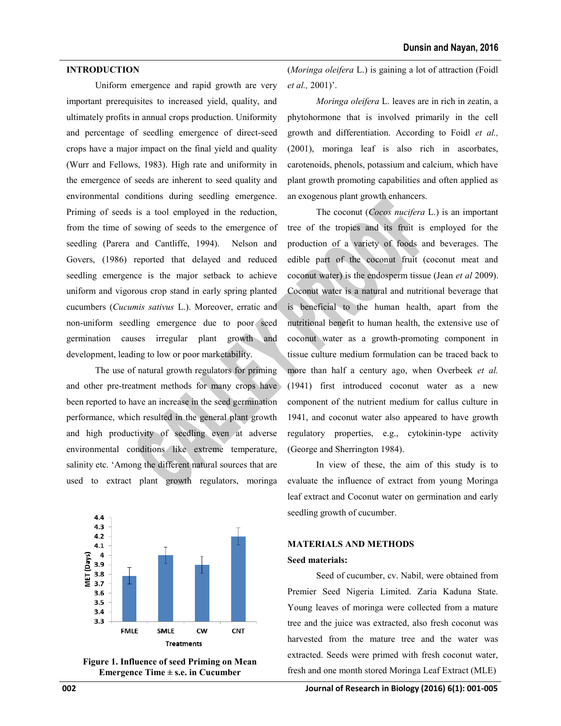#### **INTRODUCTION**

Uniform emergence and rapid growth are very important prerequisites to increased yield, quality, and ultimately profits in annual crops production. Uniformity and percentage of seedling emergence of direct-seed crops have a major impact on the final yield and quality (Wurr and Fellows, 1983). High rate and uniformity in the emergence of seeds are inherent to seed quality and environmental conditions during seedling emergence. Priming of seeds is a tool employed in the reduction, from the time of sowing of seeds to the emergence of seedling (Parera and Cantliffe, 1994). Nelson and Govers, (1986) reported that delayed and reduced seedling emergence is the major setback to achieve uniform and vigorous crop stand in early spring planted cucumbers (*Cucumis sativus* L.). Moreover, erratic and non-uniform seedling emergence due to poor seed germination causes irregular plant growth and development, leading to low or poor marketability.

The use of natural growth regulators for priming and other pre-treatment methods for many crops have been reported to have an increase in the seed germination performance, which resulted in the general plant growth and high productivity of seedling even at adverse environmental conditions like extreme temperature, salinity etc. 'Among the different natural sources that are used to extract plant growth regulators, moringa





(*Moringa oleifera* L.) is gaining a lot of attraction (Foidl *et al.,* 2001)'.

*Moringa oleifera* L. leaves are in rich in zeatin, a phytohormone that is involved primarily in the cell growth and differentiation. According to Foidl *et al.,*  (2001), moringa leaf is also rich in ascorbates, carotenoids, phenols, potassium and calcium, which have plant growth promoting capabilities and often applied as an exogenous plant growth enhancers.

The coconut (*Cocos nucifera* L.) is an important tree of the tropics and its fruit is employed for the production of a variety of foods and beverages. The edible part of the coconut fruit (coconut meat and coconut water) is the endosperm tissue (Jean *et al* 2009). Coconut water is a natural and nutritional beverage that is beneficial to the human health, apart from the nutritional benefit to human health, the extensive use of coconut water as a growth-promoting component in tissue culture medium formulation can be traced back to more than half a century ago, when Overbeek *et al.*  (1941) first introduced coconut water as a new component of the nutrient medium for callus culture in 1941, and coconut water also appeared to have growth regulatory properties, e.g., cytokinin-type activity (George and Sherrington 1984).

In view of these, the aim of this study is to evaluate the influence of extract from young Moringa leaf extract and Coconut water on germination and early seedling growth of cucumber.

# **MATERIALS AND METHODS**

### **Seed materials:**

Seed of cucumber, cv. Nabil, were obtained from Premier Seed Nigeria Limited. Zaria Kaduna State. Young leaves of moringa were collected from a mature tree and the juice was extracted, also fresh coconut was harvested from the mature tree and the water was extracted. Seeds were primed with fresh coconut water, fresh and one month stored Moringa Leaf Extract (MLE)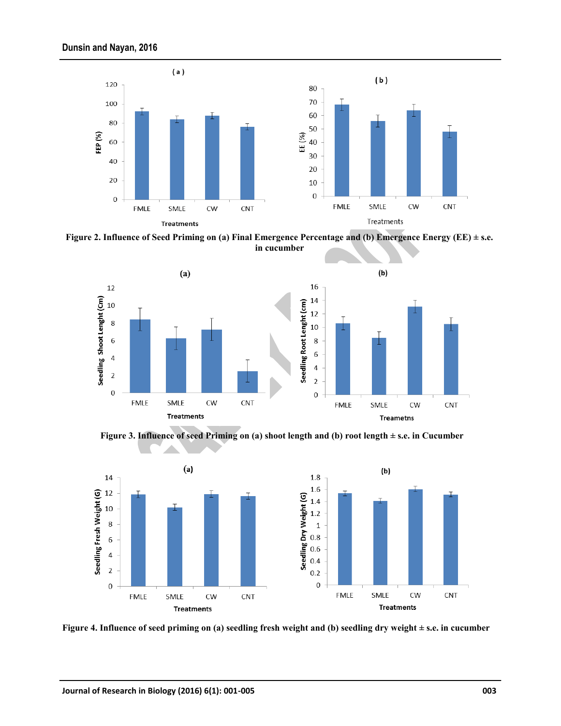

**Figure 2. Influence of Seed Priming on (a) Final Emergence Percentage and (b) Emergence Energy (EE) ± s.e. in cucumber**



**Figure 3. Influence of seed Priming on (a) shoot length and (b) root length ± s.e. in Cucumber**



**Figure 4. Influence of seed priming on (a) seedling fresh weight and (b) seedling dry weight ± s.e. in cucumber**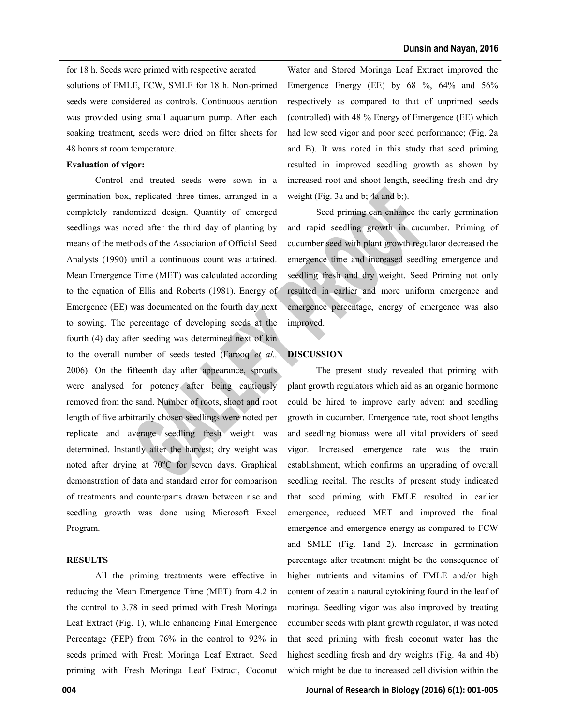for 18 h. Seeds were primed with respective aerated solutions of FMLE, FCW, SMLE for 18 h. Non-primed seeds were considered as controls. Continuous aeration was provided using small aquarium pump. After each soaking treatment, seeds were dried on filter sheets for 48 hours at room temperature.

## **Evaluation of vigor:**

Control and treated seeds were sown in a germination box, replicated three times, arranged in a completely randomized design. Quantity of emerged seedlings was noted after the third day of planting by means of the methods of the Association of Official Seed Analysts (1990) until a continuous count was attained. Mean Emergence Time (MET) was calculated according to the equation of Ellis and Roberts (1981). Energy of Emergence (EE) was documented on the fourth day next to sowing. The percentage of developing seeds at the fourth (4) day after seeding was determined next of kin to the overall number of seeds tested (Farooq *et al.,* 2006). On the fifteenth day after appearance, sprouts were analysed for potency after being cautiously removed from the sand. Number of roots, shoot and root length of five arbitrarily chosen seedlings were noted per replicate and average seedling fresh weight was determined. Instantly after the harvest; dry weight was noted after drying at 70°C for seven days. Graphical demonstration of data and standard error for comparison of treatments and counterparts drawn between rise and seedling growth was done using Microsoft Excel Program.

# **RESULTS**

All the priming treatments were effective in reducing the Mean Emergence Time (MET) from 4.2 in the control to 3.78 in seed primed with Fresh Moringa Leaf Extract (Fig. 1), while enhancing Final Emergence Percentage (FEP) from 76% in the control to 92% in seeds primed with Fresh Moringa Leaf Extract. Seed priming with Fresh Moringa Leaf Extract, Coconut

Water and Stored Moringa Leaf Extract improved the Emergence Energy (EE) by 68 %, 64% and 56% respectively as compared to that of unprimed seeds (controlled) with 48 % Energy of Emergence (EE) which had low seed vigor and poor seed performance; (Fig. 2a and B). It was noted in this study that seed priming resulted in improved seedling growth as shown by increased root and shoot length, seedling fresh and dry weight (Fig. 3a and b; 4a and b;).

Seed priming can enhance the early germination and rapid seedling growth in cucumber. Priming of cucumber seed with plant growth regulator decreased the emergence time and increased seedling emergence and seedling fresh and dry weight. Seed Priming not only resulted in earlier and more uniform emergence and emergence percentage, energy of emergence was also improved.

# **DISCUSSION**

The present study revealed that priming with plant growth regulators which aid as an organic hormone could be hired to improve early advent and seedling growth in cucumber. Emergence rate, root shoot lengths and seedling biomass were all vital providers of seed vigor. Increased emergence rate was the main establishment, which confirms an upgrading of overall seedling recital. The results of present study indicated that seed priming with FMLE resulted in earlier emergence, reduced MET and improved the final emergence and emergence energy as compared to FCW and SMLE (Fig. 1and 2). Increase in germination percentage after treatment might be the consequence of higher nutrients and vitamins of FMLE and/or high content of zeatin a natural cytokining found in the leaf of moringa. Seedling vigor was also improved by treating cucumber seeds with plant growth regulator, it was noted that seed priming with fresh coconut water has the highest seedling fresh and dry weights (Fig. 4a and 4b) which might be due to increased cell division within the